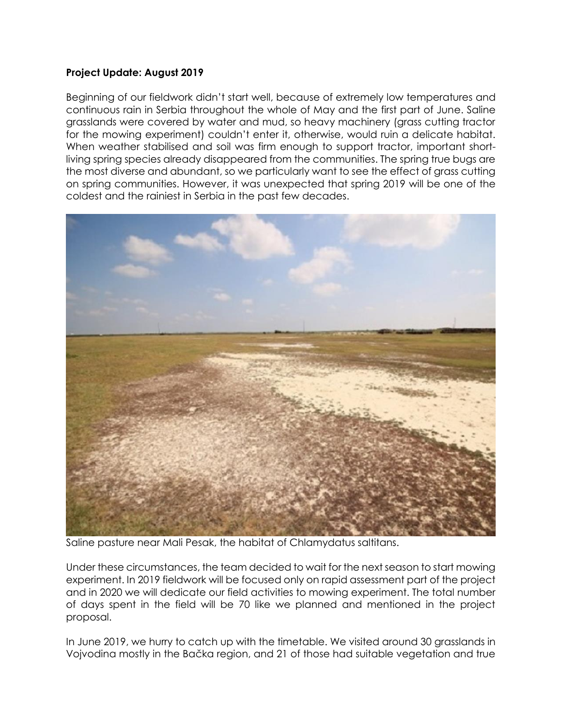## **Project Update: August 2019**

Beginning of our fieldwork didn't start well, because of extremely low temperatures and continuous rain in Serbia throughout the whole of May and the first part of June. Saline grasslands were covered by water and mud, so heavy machinery (grass cutting tractor for the mowing experiment) couldn't enter it, otherwise, would ruin a delicate habitat. When weather stabilised and soil was firm enough to support tractor, important shortliving spring species already disappeared from the communities. The spring true bugs are the most diverse and abundant, so we particularly want to see the effect of grass cutting on spring communities. However, it was unexpected that spring 2019 will be one of the coldest and the rainiest in Serbia in the past few decades.



Saline pasture near Mali Pesak, the habitat of Chlamydatus saltitans.

Under these circumstances, the team decided to wait for the next season to start mowing experiment. In 2019 fieldwork will be focused only on rapid assessment part of the project and in 2020 we will dedicate our field activities to mowing experiment. The total number of days spent in the field will be 70 like we planned and mentioned in the project proposal.

In June 2019, we hurry to catch up with the timetable. We visited around 30 grasslands in Vojvodina mostly in the Bačka region, and 21 of those had suitable vegetation and true